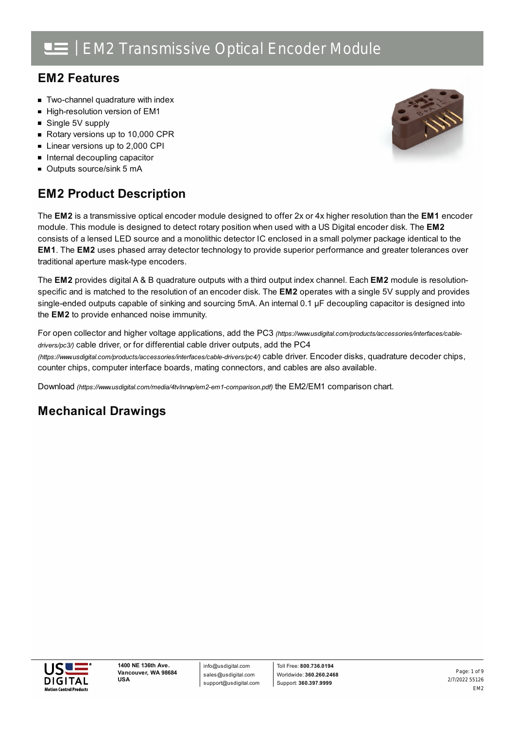### **EM2 Features**

- **Two-channel quadrature with index**
- High-resolution version of EM1
- Single 5V supply
- Rotary versions up to 10,000 CPR
- Linear versions up to 2,000 CPI
- **Internal decoupling capacitor**
- Outputs source/sink 5 mA

### **EM2 Product Description**

The **EM2** is a transmissive optical encoder module designed to offer 2x or 4x higher resolution than the **EM1** encoder module. This module is designed to detect rotary position when used with a US Digital encoder disk. The **EM2** consists of a lensed LED source and a monolithic detector IC enclosed in a small polymer package identical to the **EM1**. The **EM2** uses phased array detector technology to provide superior performance and greater tolerances over traditional aperture mask-type encoders.

The **EM2** provides digital A & B quadrature outputs with a third output index channel. Each **EM2** module is resolutionspecific and is matched to the resolution of an encoder disk. The **EM2** operates with a single 5V supply and provides single-ended outputs capable of sinking and sourcing 5mA. An internal 0.1 µF decoupling capacitor is designed into the **EM2** to provide enhanced noise immunity.

For open collector and higher voltage applications, add the PC3 *[\(https://www.usdigital.com/products/accessories/interfaces/cable](https://www.usdigital.com/products/accessories/interfaces/cable-drivers/pc3/)drivers/pc3/)* cable driver, or for differential cable driver outputs, add the PC4 *(https://www.usdigital.com/products/accessories/interfaces/cable-drivers/pc4/)* cable driver. Encoder disks, quadrature decoder chips, counter chips, computer interface boards, mating connectors, and cables are also available.

Download *[\(https://www.usdigital.com/media/4tvlnrwp/em2-em1-comparison.pdf\)](https://www.usdigital.com/media/4tvlnrwp/em2-em1-comparison.pdf)* the EM2/EM1 comparison chart.

### **Mechanical Drawings**

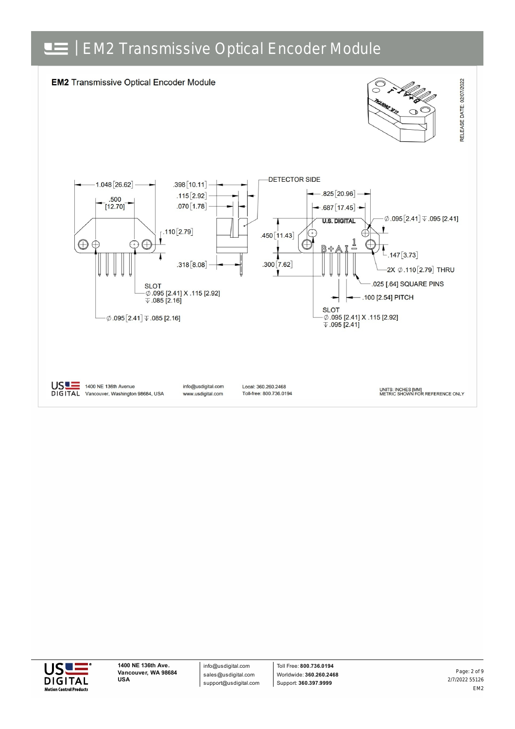



info@usdigital.com sales@usdigital.com support@usdigital.com

Toll Free: **800.736.0194** Worldwide: **360.260.2468** Support: **360.397.9999**

2/7/2022 55126 EM2 Page: 2 of 9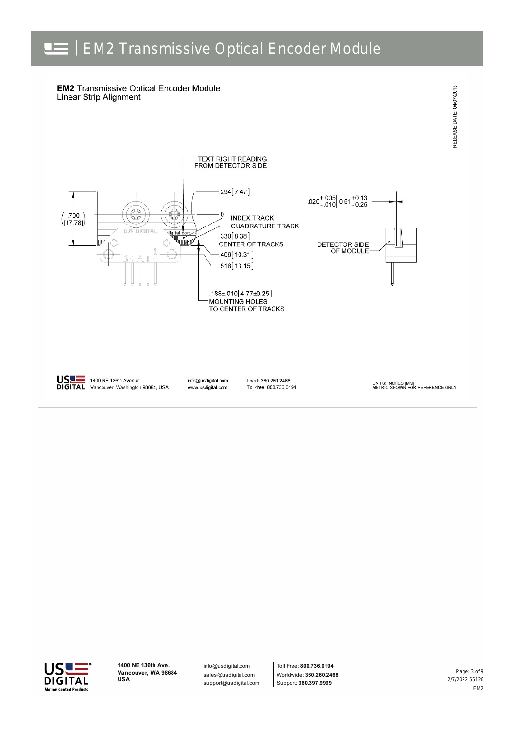



info@usdigital.com sales@usdigital.com support@usdigital.com

Toll Free: **800.736.0194** Worldwide: **360.260.2468** Support: **360.397.9999**

2/7/2022 55126 EM2 Page: 3 of 9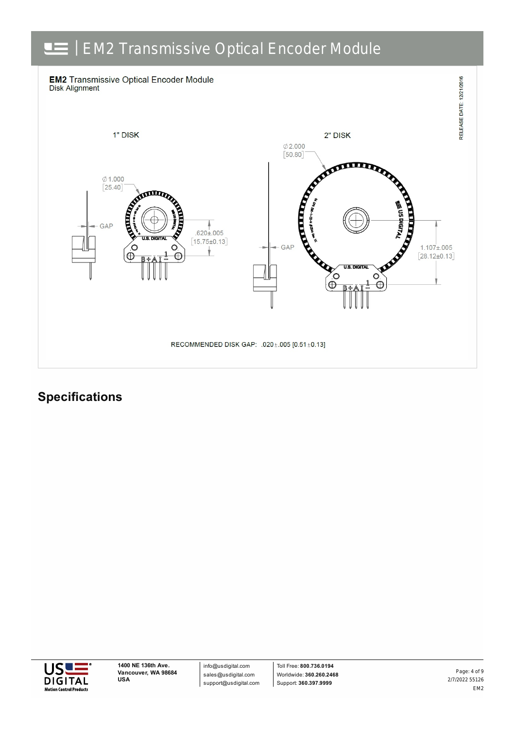

### **Specifications**



info@usdigital.com sales@usdigital.com support@usdigital.com

Toll Free: **800.736.0194** Worldwide: **360.260.2468** Support: **360.397.9999**

2/7/2022 55126 EM2 Page: 4 of 9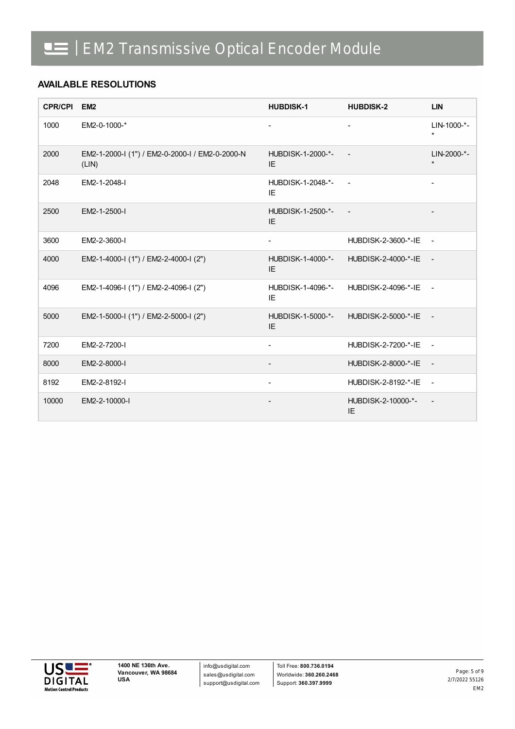#### **AVAILABLE RESOLUTIONS**

| CPR/CPI EM2 |                                                          | <b>HUBDISK-1</b>         | <b>HUBDISK-2</b>           | <b>LIN</b>             |
|-------------|----------------------------------------------------------|--------------------------|----------------------------|------------------------|
| 1000        | EM2-0-1000-*                                             | $\overline{\phantom{a}}$ | $\blacksquare$             | LIN-1000-*-<br>$\star$ |
| 2000        | EM2-1-2000-I (1") / EM2-0-2000-I / EM2-0-2000-N<br>(LIN) | HUBDISK-1-2000-*-<br>IE  |                            | LIN-2000-*-<br>$\star$ |
| 2048        | EM2-1-2048-I                                             | HUBDISK-1-2048-*-<br>IE  |                            |                        |
| 2500        | EM2-1-2500-I                                             | HUBDISK-1-2500-*-<br>IE  | $\sim$ $-$                 |                        |
| 3600        | EM2-2-3600-I                                             |                          | HUBDISK-2-3600-*-IE -      |                        |
| 4000        | EM2-1-4000-I (1") / EM2-2-4000-I (2")                    | HUBDISK-1-4000-*-<br>IE  | HUBDISK-2-4000-*-IE -      |                        |
| 4096        | EM2-1-4096-I (1") / EM2-2-4096-I (2")                    | HUBDISK-1-4096-*-<br>IE  | HUBDISK-2-4096-*-IE        | $\sim$ 100 $\mu$       |
| 5000        | EM2-1-5000-I (1") / EM2-2-5000-I (2")                    | HUBDISK-1-5000-*-<br>IE  | HUBDISK-2-5000-*-IE -      |                        |
| 7200        | EM2-2-7200-I                                             | $\blacksquare$           | <b>HUBDISK-2-7200-*-IE</b> | $\sim$                 |
| 8000        | EM2-2-8000-I                                             |                          | HUBDISK-2-8000-*-IE        | $\sim$ $-$             |
| 8192        | EM2-2-8192-I                                             | $\blacksquare$           | HUBDISK-2-8192-*-IE        | $\sim$ $\sim$          |
| 10000       | EM2-2-10000-I                                            |                          | HUBDISK-2-10000-*-<br>IE.  |                        |

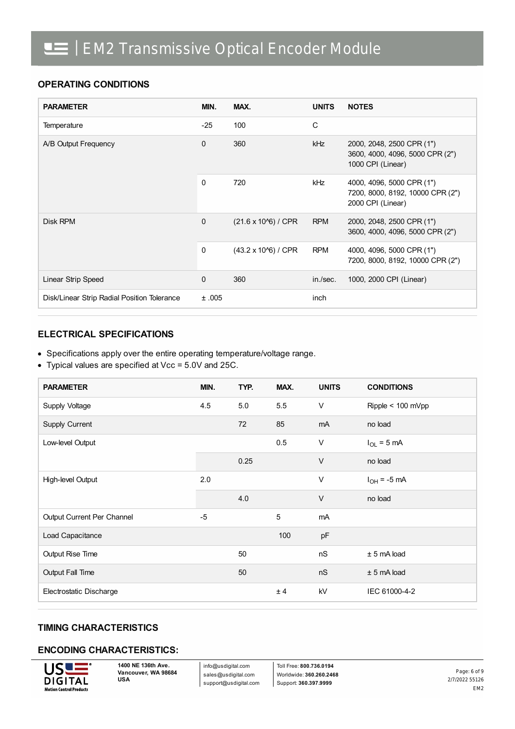#### **OPERATING CONDITIONS**

| <b>PARAMETER</b>                            | MIN.     | MAX.                         | <b>UNITS</b> | <b>NOTES</b>                                                                       |
|---------------------------------------------|----------|------------------------------|--------------|------------------------------------------------------------------------------------|
| Temperature                                 | $-25$    | 100                          | C            |                                                                                    |
| A/B Output Frequency                        | 0        | 360                          | <b>kHz</b>   | 2000, 2048, 2500 CPR (1")<br>3600, 4000, 4096, 5000 CPR (2")<br>1000 CPI (Linear)  |
|                                             | $\Omega$ | 720                          | <b>kHz</b>   | 4000, 4096, 5000 CPR (1")<br>7200, 8000, 8192, 10000 CPR (2")<br>2000 CPI (Linear) |
| Disk RPM                                    | 0        | $(21.6 \times 10^{6})$ / CPR | <b>RPM</b>   | 2000, 2048, 2500 CPR (1")<br>3600, 4000, 4096, 5000 CPR (2")                       |
|                                             | 0        | $(43.2 \times 10\%)$ / CPR   | <b>RPM</b>   | 4000, 4096, 5000 CPR (1")<br>7200, 8000, 8192, 10000 CPR (2")                      |
| Linear Strip Speed                          | $\Omega$ | 360                          | in./sec.     | 1000, 2000 CPI (Linear)                                                            |
| Disk/Linear Strip Radial Position Tolerance | ±.005    |                              | inch         |                                                                                    |

#### **ELECTRICAL SPECIFICATIONS**

- Specifications apply over the entire operating temperature/voltage range.
- Typical values are specified at Vcc = 5.0V and 25C.

| <b>PARAMETER</b>           | MIN. | TYP. | MAX. | <b>UNITS</b> | <b>CONDITIONS</b> |
|----------------------------|------|------|------|--------------|-------------------|
| Supply Voltage             | 4.5  | 5.0  | 5.5  | $\vee$       | Ripple < 100 mVpp |
| Supply Current             |      | 72   | 85   | mA           | no load           |
| Low-level Output           |      |      | 0.5  | $\vee$       | $I_{OL}$ = 5 mA   |
|                            |      | 0.25 |      | $\vee$       | no load           |
| High-level Output          | 2.0  |      |      | V            | $I_{OH}$ = -5 mA  |
|                            |      | 4.0  |      | $\vee$       | no load           |
| Output Current Per Channel | $-5$ |      | 5    | mA           |                   |
| Load Capacitance           |      |      | 100  | pF           |                   |
| Output Rise Time           |      | 50   |      | nS           | $± 5$ mA load     |
| Output Fall Time           |      | 50   |      | nS           | $± 5$ mA load     |
| Electrostatic Discharge    |      |      | ± 4  | kV           | IEC 61000-4-2     |

#### **TIMING CHARACTERISTICS**

#### **ENCODING CHARACTERISTICS:**



**1400 NE 136th Ave. Vancouver, WA 98684 USA**

info@usdigital.com sales@usdigital.com support@usdigital.com

Toll Free: **800.736.0194** Worldwide: **360.260.2468** Support: **360.397.9999**

2/7/2022 55126 EM2 Page: 6 of 9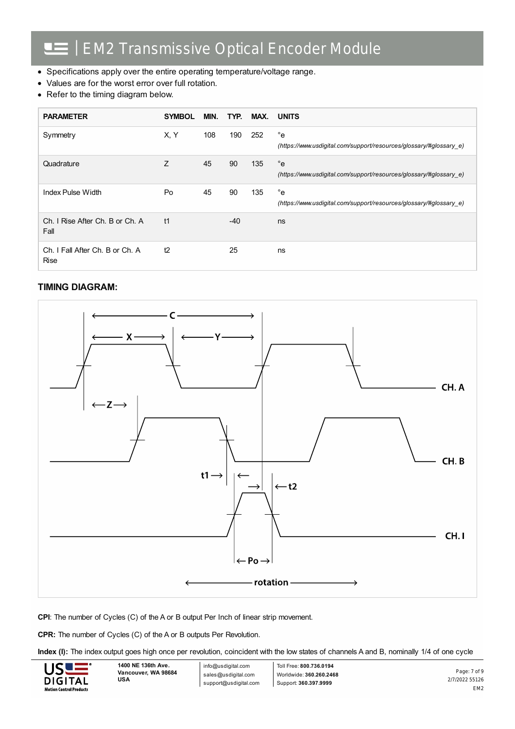- Specifications apply over the entire operating temperature/voltage range.
- Values are for the worst error over full rotation.
- Refer to the timing diagram below.

| <b>PARAMETER</b>                               | <b>SYMBOL</b> | MIN. | TYP.  | MAX. | <b>UNITS</b>                                                                       |
|------------------------------------------------|---------------|------|-------|------|------------------------------------------------------------------------------------|
| Symmetry                                       | X, Y          | 108  | 190   | 252  | $^{\circ}$ e<br>(https://www.usdigital.com/support/resources/glossary/#glossary e) |
| Quadrature                                     | Z             | 45   | 90    | 135  | $^{\circ}$ e<br>(https://www.usdigital.com/support/resources/glossary/#glossary e) |
| Index Pulse Width                              | Po            | 45   | 90    | 135  | $^{\circ}$ e<br>(https://www.usdigital.com/support/resources/glossary/#glossary e) |
| Ch. I Rise After Ch. B or Ch. A<br>Fall        | t1            |      | $-40$ |      | ns                                                                                 |
| Ch. I Fall After Ch. B or Ch. A<br><b>Rise</b> | t2            |      | 25    |      | ns                                                                                 |

#### **TIMING DIAGRAM:**



**CPI**: The number of Cycles (C) of the A or B output Per Inch of linear strip movement.

**CPR:** The number of Cycles (C) of the A or B outputs Per Revolution.

**Index (I):** The index output goes high once per revolution, coincident with the low states of channels A and B, nominally 1/4 of one cycle



info@usdigital.com sales@usdigital.com support@usdigital.com

Toll Free: **800.736.0194** Worldwide: **360.260.2468** Support: **360.397.9999**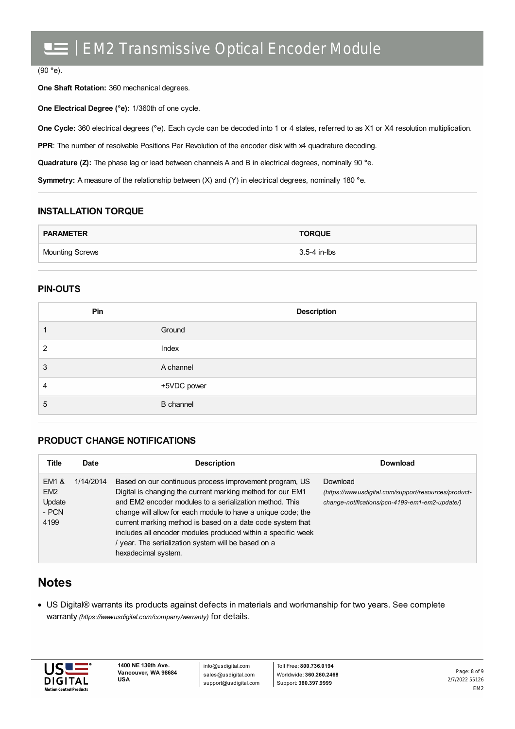#### (90 **°**e).

**One Shaft Rotation:** 360 mechanical degrees.

**One Electrical Degree (°e):** 1/360th of one cycle.

**One Cycle:** 360 electrical degrees (**°**e). Each cycle can be decoded into 1 or 4 states, referred to as X1 or X4 resolution multiplication.

**PPR:** The number of resolvable Positions Per Revolution of the encoder disk with x4 quadrature decoding.

**Quadrature (Z):** The phase lag or lead between channels A and B in electrical degrees, nominally 90 **°**e.

**Symmetry:** A measure of the relationship between (X) and (Y) in electrical degrees, nominally 180 **°**e.

#### **INSTALLATION TORQUE**

| <b>PARAMETER</b>       | <b>TORQUE</b> |
|------------------------|---------------|
| <b>Mounting Screws</b> | 3.5-4 in-lbs  |

#### **PIN-OUTS**

| Pin | <b>Description</b> |
|-----|--------------------|
|     | Ground             |
| ົ   | Index              |
| 3   | A channel          |
| 4   | +5VDC power        |
| 5   | <b>B</b> channel   |

#### **PRODUCT CHANGE NOTIFICATIONS**

| Title                                               | Date      | <b>Description</b>                                                                                                                                                                                                                                                                                                                                                                                                                                           | Download                                                                                                            |
|-----------------------------------------------------|-----------|--------------------------------------------------------------------------------------------------------------------------------------------------------------------------------------------------------------------------------------------------------------------------------------------------------------------------------------------------------------------------------------------------------------------------------------------------------------|---------------------------------------------------------------------------------------------------------------------|
| EM1 &<br>EM <sub>2</sub><br>Update<br>- PCN<br>4199 | 1/14/2014 | Based on our continuous process improvement program, US<br>Digital is changing the current marking method for our EM1<br>and EM2 encoder modules to a serialization method. This<br>change will allow for each module to have a unique code; the<br>current marking method is based on a date code system that<br>includes all encoder modules produced within a specific week<br>/ year. The serialization system will be based on a<br>hexadecimal system. | Download<br>(https://www.usdigital.com/support/resources/product-<br>change-notifications/pcn-4199-em1-em2-update/) |

#### **Notes**

US Digital® warrants its products against defects in materials and workmanship for two years. See complete warranty *[\(https://www.usdigital.com/company/warranty\)](https://www.usdigital.com/company/warranty)* for details.



info@usdigital.com sales@usdigital.com support@usdigital.com

Toll Free: **800.736.0194** Worldwide: **360.260.2468** Support: **360.397.9999**

2/7/2022 55126 EM2 Page: 8 of 9